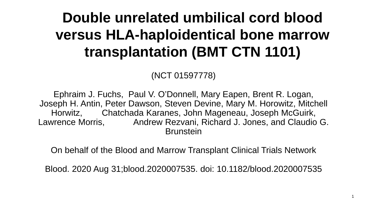#### **Double unrelated umbilical cord blood versus HLA-haploidentical bone marrow transplantation (BMT CTN 1101)**

(NCT 01597778)

Ephraim J. Fuchs, Paul V. O'Donnell, Mary Eapen, Brent R. Logan, Joseph H. Antin, Peter Dawson, Steven Devine, Mary M. Horowitz, Mitchell Horwitz, Chatchada Karanes, John Mageneau, Joseph McGuirk, Lawrence Morris, Andrew Rezvani, Richard J. Jones, and Claudio G. Brunstein

On behalf of the Blood and Marrow Transplant Clinical Trials Network

Blood. 2020 Aug 31;blood.2020007535. doi: 10.1182/blood.2020007535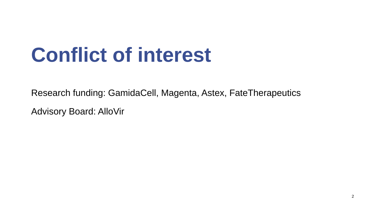### **Conflict of interest**

Research funding: GamidaCell, Magenta, Astex, FateTherapeutics

Advisory Board: AlloVir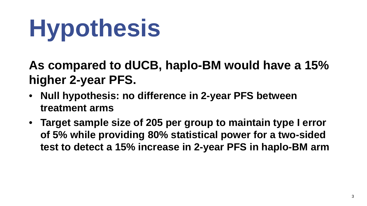# **Hypothesis**

**As compared to dUCB, haplo-BM would have a 15% higher 2-year PFS.**

- **Null hypothesis: no difference in 2-year PFS between treatment arms**
- **Target sample size of 205 per group to maintain type I error of 5% while providing 80% statistical power for a two-sided test to detect a 15% increase in 2-year PFS in haplo-BM arm**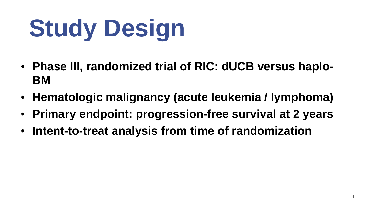# **Study Design**

- **Phase III, randomized trial of RIC: dUCB versus haplo-BM**
- **Hematologic malignancy (acute leukemia / lymphoma)**
- **Primary endpoint: progression-free survival at 2 years**
- **Intent-to-treat analysis from time of randomization**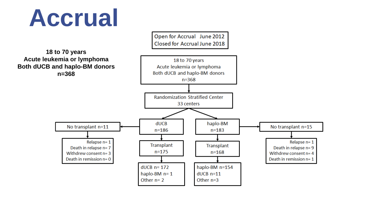## **Accrual**

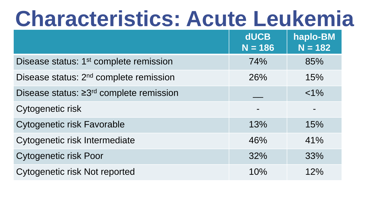### **Characteristics: Acute Leukemia**

|                                                    | <b>dUCB</b><br>$N = 186$ | haplo-BM<br>$N = 182$ |
|----------------------------------------------------|--------------------------|-----------------------|
| Disease status: 1 <sup>st</sup> complete remission | 74%                      | 85%                   |
| Disease status: 2 <sup>nd</sup> complete remission | 26%                      | 15%                   |
| Disease status: $\geq 3^{rd}$ complete remission   |                          | $< 1\%$               |
| Cytogenetic risk                                   |                          |                       |
| <b>Cytogenetic risk Favorable</b>                  | 13%                      | 15%                   |
| Cytogenetic risk Intermediate                      | 46%                      | 41%                   |
| <b>Cytogenetic risk Poor</b>                       | 32%                      | 33%                   |
| Cytogenetic risk Not reported                      | 10%                      | 12%                   |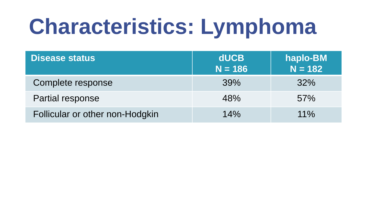## **Characteristics: Lymphoma**

| <b>Disease status</b>           | <b>dUCB</b><br>$N = 186$ | haplo-BM<br>$N = 182$ |
|---------------------------------|--------------------------|-----------------------|
| Complete response               | 39%                      | 32%                   |
| Partial response                | 48%                      | 57%                   |
| Follicular or other non-Hodgkin | 14%                      | $11\%$                |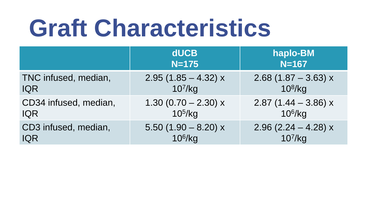## **Graft Characteristics**

|                       | <b>dUCB</b><br>$N = 175$ | haplo-BM<br>$N = 167$  |
|-----------------------|--------------------------|------------------------|
| TNC infused, median,  | $2.95(1.85 - 4.32)x$     | $2.68$ (1.87 – 3.63) x |
| <b>IQR</b>            | $10^7$ /kg               | $10^8$ /kg             |
| CD34 infused, median, | $1.30(0.70 - 2.30)x$     | 2.87 $(1.44 - 3.86) x$ |
| <b>IQR</b>            | 10 <sup>5</sup> /kg      | $10^6$ /kg             |
| CD3 infused, median,  | $5.50(1.90 - 8.20)x$     | 2.96 $(2.24 - 4.28) x$ |
| <b>IQR</b>            | $10^6$ /kg               | $10^7$ /kg             |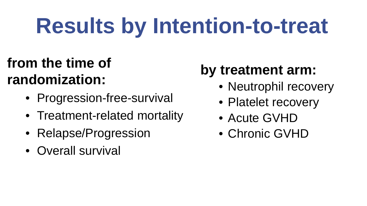## **Results by Intention-to-treat**

#### **from the time of randomization:**

- Progression-free-survival
- Treatment-related mortality
- Relapse/Progression
- Overall survival

#### **by treatment arm:**

- Neutrophil recovery
- Platelet recovery
- Acute GVHD
- Chronic GVHD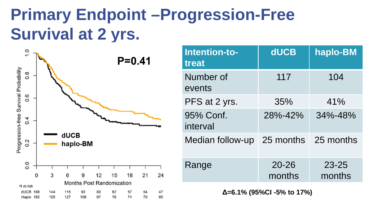### **Primary Endpoint –Progression-Free Survival at 2 yrs.**



| Intention-to-<br>treat               | <b>dUCB</b>         | haplo-BM            |
|--------------------------------------|---------------------|---------------------|
| Number of<br>events                  | 117                 | 104                 |
| PFS at 2 yrs.                        | 35%                 | 41%                 |
| 95% Conf.<br>interval                | 28%-42%             | $34\% - 48\%$       |
| Median follow-up 25 months 25 months |                     |                     |
| Range                                | $20 - 26$<br>months | $23 - 25$<br>months |

**Δ=6.1% (95%CI -5% to 17%)**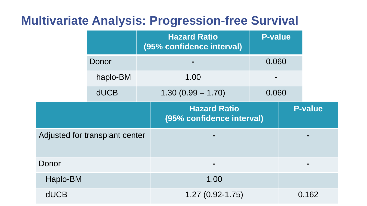#### **Multivariate Analysis: Progression-free Survival**

|             |                                | <b>Hazard Ratio</b><br>(95% confidence interval) | <b>P-value</b> |                |
|-------------|--------------------------------|--------------------------------------------------|----------------|----------------|
|             | Donor                          |                                                  | 0.060          |                |
|             | haplo-BM                       | 1.00                                             |                |                |
|             | <b>dUCB</b>                    | $1.30(0.99 - 1.70)$                              | 0.060          |                |
|             |                                | <b>Hazard Ratio</b><br>(95% confidence interval) |                | <b>P-value</b> |
|             | Adjusted for transplant center |                                                  |                |                |
| Donor       |                                |                                                  |                |                |
| Haplo-BM    |                                | 1.00                                             |                |                |
| <b>dUCB</b> |                                | $1.27(0.92 - 1.75)$                              |                | 0.162          |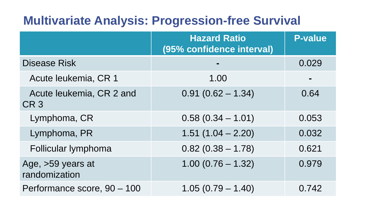#### **Multivariate Analysis: Progression-free Survival**

|                                             | <b>Hazard Ratio</b><br>(95% confidence interval) | <b>P-value</b> |
|---------------------------------------------|--------------------------------------------------|----------------|
| <b>Disease Risk</b>                         |                                                  | 0.029          |
| Acute leukemia, CR 1                        | 1.00                                             |                |
| Acute leukemia, CR 2 and<br>CR <sub>3</sub> | $0.91(0.62 - 1.34)$                              | 0.64           |
| Lymphoma, CR                                | $0.58(0.34 - 1.01)$                              | 0.053          |
| Lymphoma, PR                                | $1.51(1.04 - 2.20)$                              | 0.032          |
| Follicular lymphoma                         | $0.82(0.38 - 1.78)$                              | 0.621          |
| Age, >59 years at<br>randomization          | $1.00(0.76 - 1.32)$                              | 0.979          |
| Performance score, 90 - 100                 | $1.05(0.79 - 1.40)$                              | 0.742          |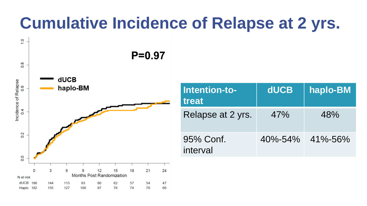### **Cumulative Incidence of Relapse at 2 yrs.**



| Intention-to-<br>treat | <b>dUCB</b> | haplo-BM                    |
|------------------------|-------------|-----------------------------|
| Relapse at 2 yrs.      | 47%         | 48%                         |
| 95% Conf.<br>interval  |             | $40\% - 54\% - 41\% - 56\%$ |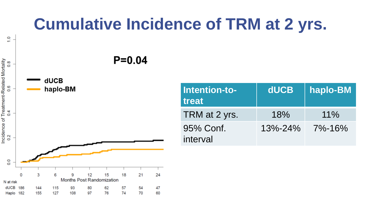#### **Cumulative Incidence of TRM at 2 yrs.**

 $P = 0.04$ 



 $\frac{0}{1}$ .

| Intention-to-<br>treat | dUCB          | haplo-BM |
|------------------------|---------------|----------|
| TRM at 2 yrs.          | 18%           | $11\%$   |
| 95% Conf.<br>interval  | $13\% - 24\%$ | 7%-16%   |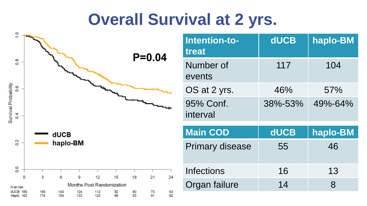#### **Overall Survival at 2 yrs.**



| Intention-to-<br>treat | <b>dUCB</b> | haplo-BM |
|------------------------|-------------|----------|
| Number of<br>events    | 117         | 104      |
| OS at 2 yrs.           | 46%         | 57%      |
| 95% Conf.<br>interval  | 38%-53%     | 49%-64%  |
| <b>Main COD</b>        | <b>dUCB</b> | haplo-BM |
| <b>Primary disease</b> | 55          | 46       |
| Infections             | 16          | 13       |
| Organ failure          | 14          | 8        |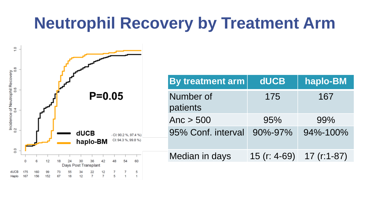### **Neutrophil Recovery by Treatment Arm**

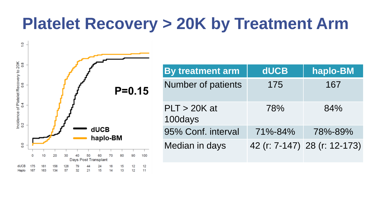#### **Platelet Recovery > 20K by Treatment Arm**



| <b>By treatment arm</b>   | <b>dUCB</b> | haplo-BM                     |
|---------------------------|-------------|------------------------------|
| <b>Number of patients</b> | 175         | 167                          |
| $PLT > 20K$ at<br>100days | 78%         | 84%                          |
| 95% Conf. interval        | 71%-84%     | 78%-89%                      |
| Median in days            |             | 42 (r: 7-147) 28 (r: 12-173) |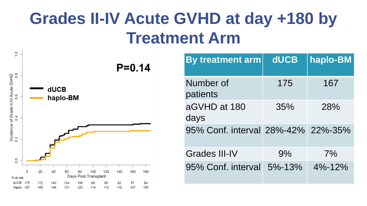### **Grades II-IV Acute GVHD at day +180 by Treatment Arm**



| By treatment arm                   | <b>dUCB</b>  | haplo-BM     |
|------------------------------------|--------------|--------------|
| Number of<br>patients              | 175          | 167          |
| aGVHD at 180<br>days               | 35%          | 28%          |
| 95% Conf. interval 28%-42% 22%-35% |              |              |
| Grades III-IV                      | 9%           | 7%           |
| 95% Conf. interval                 | $5\% - 13\%$ | $4\% - 12\%$ |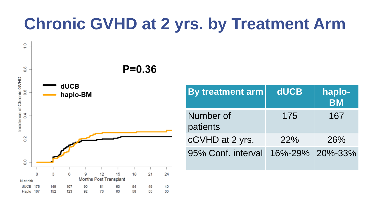### **Chronic GVHD at 2 yrs. by Treatment Arm**



| By treatment arm      | <b>dUCB</b>     | haplo-<br><b>BM</b> |
|-----------------------|-----------------|---------------------|
| Number of<br>patients | 175             | 167                 |
| cGVHD at 2 yrs.       | <b>22%</b>      | 26%                 |
| 95% Conf. interval    | 16%-29% 20%-33% |                     |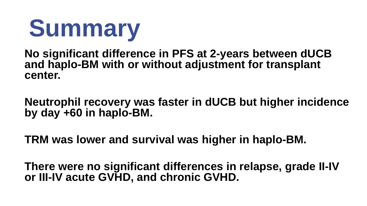

**No significant difference in PFS at 2-years between dUCB and haplo-BM with or without adjustment for transplant center.**

**Neutrophil recovery was faster in dUCB but higher incidence by day +60 in haplo-BM.** 

**TRM was lower and survival was higher in haplo-BM.**

**There were no significant differences in relapse, grade II-IV or III-IV acute GVHD, and chronic GVHD.**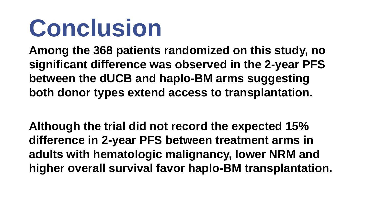## **Conclusion**

**Among the 368 patients randomized on this study, no significant difference was observed in the 2-year PFS between the dUCB and haplo-BM arms suggesting both donor types extend access to transplantation.** 

**Although the trial did not record the expected 15% difference in 2-year PFS between treatment arms in adults with hematologic malignancy, lower NRM and higher overall survival favor haplo-BM transplantation.**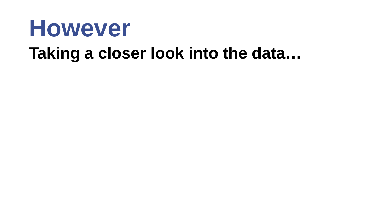### **However Taking a closer look into the data…**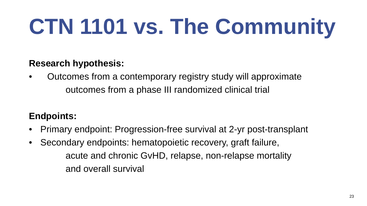## **CTN 1101 vs. The Community**

#### **Research hypothesis:**

• Outcomes from a contemporary registry study will approximate outcomes from a phase III randomized clinical trial

#### **Endpoints:**

- Primary endpoint: Progression-free survival at 2-yr post-transplant
- Secondary endpoints: hematopoietic recovery, graft failure, acute and chronic GvHD, relapse, non-relapse mortality and overall survival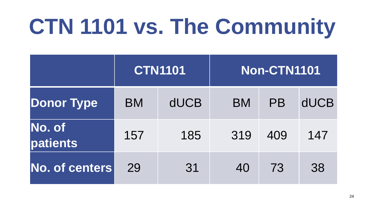## **CTN 1101 vs. The Community**

|                           | <b>CTN1101</b> |             | <b>Non-CTN1101</b> |           |             |
|---------------------------|----------------|-------------|--------------------|-----------|-------------|
| <b>Donor Type</b>         | <b>BM</b>      | <b>dUCB</b> | <b>BM</b>          | <b>PB</b> | <b>dUCB</b> |
| <b>No. of</b><br>patients | 157            | 185         | 319                | 409       | 147         |
| No. of centers            | 29             | 31          | 40                 | 73        | 38          |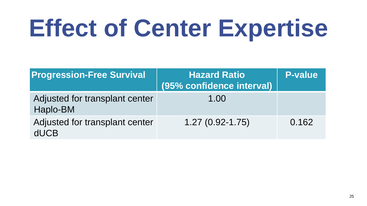# **Effect of Center Expertise**

| <b>Progression-Free Survival</b>              | <b>Hazard Ratio</b><br>(95% confidence interval) | <b>P-value</b> |
|-----------------------------------------------|--------------------------------------------------|----------------|
| Adjusted for transplant center<br>Haplo-BM    | 1.00                                             |                |
| Adjusted for transplant center<br><b>dUCB</b> | $1.27(0.92 - 1.75)$                              | 0.162          |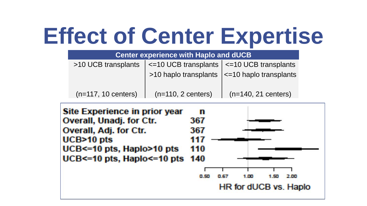### **Effect of Center Expertise**

| <b>Center experience with Haplo and dUCB</b> |                                                           |                                                        |  |  |  |
|----------------------------------------------|-----------------------------------------------------------|--------------------------------------------------------|--|--|--|
| >10 UCB transplants                          | $\vert$ <=10 UCB transplants $\vert$ <=10 UCB transplants |                                                        |  |  |  |
|                                              |                                                           | $>10$ haplo transplants $\vert$ <=10 haplo transplants |  |  |  |
| $(n=117, 10$ centers)                        | $(n=110, 2 \text{ centers})$                              | $(n=140, 21$ centers)                                  |  |  |  |

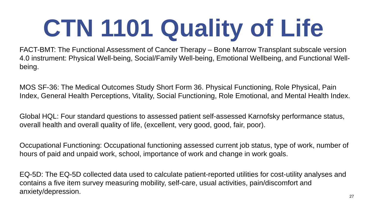# **CTN 1101 Quality of Life**

FACT-BMT: The Functional Assessment of Cancer Therapy – Bone Marrow Transplant subscale version 4.0 instrument: Physical Well-being, Social/Family Well-being, Emotional Wellbeing, and Functional Wellbeing.

MOS SF-36: The Medical Outcomes Study Short Form 36. Physical Functioning, Role Physical, Pain Index, General Health Perceptions, Vitality, Social Functioning, Role Emotional, and Mental Health Index.

Global HQL: Four standard questions to assessed patient self-assessed Karnofsky performance status, overall health and overall quality of life, (excellent, very good, good, fair, poor).

Occupational Functioning: Occupational functioning assessed current job status, type of work, number of hours of paid and unpaid work, school, importance of work and change in work goals.

EQ-5D: The EQ-5D collected data used to calculate patient-reported utilities for cost-utility analyses and contains a five item survey measuring mobility, self-care, usual activities, pain/discomfort and anxiety/depression.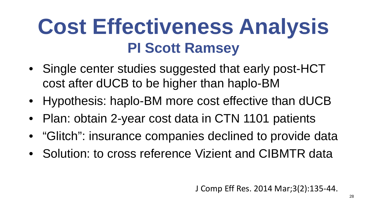### **Cost Effectiveness Analysis PI Scott Ramsey**

- Single center studies suggested that early post-HCT cost after dUCB to be higher than haplo-BM
- Hypothesis: haplo-BM more cost effective than dUCB
- Plan: obtain 2-year cost data in CTN 1101 patients
- "Glitch": insurance companies declined to provide data
- Solution: to cross reference Vizient and CIBMTR data

J Comp Eff Res. 2014 Mar;3(2):135-44.